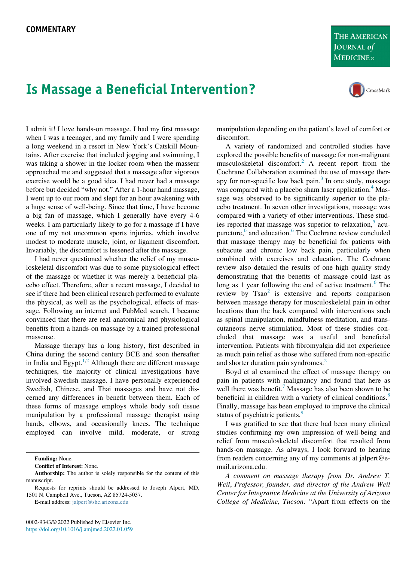## Is Massage a Beneficial Intervention?





I admit it! I love hands-on massage. I had my first massage when I was a teenager, and my family and I were spending a long weekend in a resort in New York's Catskill Mountains. After exercise that included jogging and swimming, I was taking a shower in the locker room when the masseur approached me and suggested that a massage after vigorous exercise would be a good idea. I had never had a massage before but decided "why not." After a 1-hour hand massage, I went up to our room and slept for an hour awakening with a huge sense of well-being. Since that time, I have become a big fan of massage, which I generally have every 4-6 weeks. I am particularly likely to go for a massage if I have one of my not uncommon sports injuries, which involve modest to moderate muscle, joint, or ligament discomfort. Invariably, the discomfort is lessened after the massage.

I had never questioned whether the relief of my musculoskeletal discomfort was due to some physiological effect of the massage or whether it was merely a beneficial placebo effect. Therefore, after a recent massage, I decided to see if there had been clinical research performed to evaluate the physical, as well as the psychological, effects of massage. Following an internet and PubMed search, I became convinced that there are real anatomical and physiological benefits from a hands-on massage by a trained professional masseuse.

Massage therapy has a long history, first described in China during the second century BCE and soon thereafter in India and Egypt.<sup>[1](#page-1-0),[2](#page-1-1)</sup> Although there are different massage techniques, the majority of clinical investigations have involved Swedish massage. I have personally experienced Swedish, Chinese, and Thai massages and have not discerned any differences in benefit between them. Each of these forms of massage employs whole body soft tissue manipulation by a professional massage therapist using hands, elbows, and occasionally knees. The technique employed can involve mild, moderate, or strong

Funding: None.

Conflict of Interest: None.

Requests for reprints should be addressed to Joseph Alpert, MD, 1501 N. Campbell Ave., Tucson, AZ 85724-5037.

E-mail address: [jalpert@shc.arizona.edu](mailto:jalpert@shc.arizona.edu)

manipulation depending on the patient's level of comfort or discomfort.

A variety of randomized and controlled studies have explored the possible benefits of massage for non-malignant musculoskeletal discomfort.[2](#page-1-1) A recent report from the Cochrane Collaboration examined the use of massage ther-apy for non-specific low back pain.<sup>[3](#page-1-2)</sup> In one study, massage was compared with a placebo sham laser application.<sup>[4](#page-1-3)</sup> Massage was observed to be significantly superior to the placebo treatment. In seven other investigations, massage was compared with a variety of other interventions. These studies reported that massage was superior to relaxation, $5$  acu-puncture,<sup>[6](#page-1-5)</sup> and education.<sup>6</sup> The Cochrane review concluded that massage therapy may be beneficial for patients with subacute and chronic low back pain, particularly when combined with exercises and education. The Cochrane review also detailed the results of one high quality study demonstrating that the benefits of massage could last as long as 1 year following the end of active treatment.<sup>[6](#page-1-5)</sup> The review by  $Tsao<sup>2</sup>$  $Tsao<sup>2</sup>$  $Tsao<sup>2</sup>$  is extensive and reports comparison between massage therapy for musculoskeletal pain in other locations than the back compared with interventions such as spinal manipulation, mindfulness meditation, and transcutaneous nerve stimulation. Most of these studies concluded that massage was a useful and beneficial intervention. Patients with fibromyalgia did not experience as much pain relief as those who suffered from non-specific and shorter duration pain syndromes.<sup>[2](#page-1-1)</sup>

Boyd et al examined the effect of massage therapy on pain in patients with malignancy and found that here as well there was benefit.<sup>7</sup> Massage has also been shown to be beneficial in children with a variety of clinical conditions.<sup>[8](#page-1-7)</sup> Finally, massage has been employed to improve the clinical status of psychiatric patients.<sup>[9](#page-1-8)</sup>

I was gratified to see that there had been many clinical studies confirming my own impression of well-being and relief from musculoskeletal discomfort that resulted from hands-on massage. As always, I look forward to hearing from readers concerning any of my comments at jalpert@email.arizona.edu.

A comment on massage therapy from Dr. Andrew T. Weil, Professor, founder, and director of the Andrew Weil Center for Integrative Medicine at the University of Arizona College of Medicine, Tucson: "Apart from effects on the

Authorship: The author is solely responsible for the content of this manuscript.